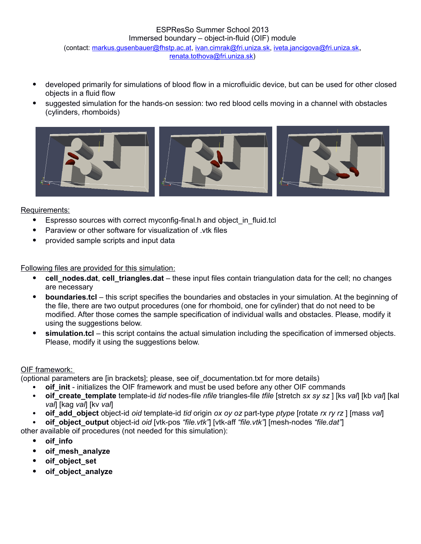## ESPResSo Summer School 2013 Immersed boundary – object-in-fluid (OIF) module (contact: [markus.gusenbauer@fhstp.ac.at,](mailto:markus.gusenbauer@fhstp.ac.at) [ivan.cimrak@fri.uniza.sk,](mailto:ivan.cimrak@fri.uniza.sk) [iveta.jancigova@fri.uniza.sk](mailto:iveta.jancigova@fri.uniza.sk), [renata.tothova@fri.uniza.sk\)](mailto:renata.tothova@fri.uniza.sk)

- developed primarily for simulations of blood flow in a microfluidic device, but can be used for other closed objects in a fluid flow
- suggested simulation for the hands-on session: two red blood cells moving in a channel with obstacles (cylinders, rhomboids)



Requirements:

- Espresso sources with correct myconfig-final.h and object\_in\_fluid.tcl
- Paraview or other software for visualization of .vtk files
- provided sample scripts and input data

Following files are provided for this simulation:

- cell\_nodes.dat, cell\_triangles.dat these input files contain triangulation data for the cell; no changes are necessary
- **boundaries.tcl** this script specifies the boundaries and obstacles in your simulation. At the beginning of the file, there are two output procedures (one for rhomboid, one for cylinder) that do not need to be modified. After those comes the sample specification of individual walls and obstacles. Please, modify it using the suggestions below.
- **simulation.tcl** this script contains the actual simulation including the specification of immersed objects. Please, modify it using the suggestions below.

## OIF framework:

(optional parameters are [in brackets]; please, see oif\_documentation.txt for more details)

- **oif init** initializes the OIF framework and must be used before any other OIF commands
- **oif\_create\_template** template-id *tid* nodes-file *nfile* triangles-file *tfile* [stretch *sx sy sz* ] [ks *val*] [kb *val*] [kal *val*] [kag *val*] [kv *val*]
- **oif\_add\_object** object-id *oid* template-id *tid* origin *ox oy oz* part-type *ptype* [rotate *rx ry rz* ] [mass *val*]
- **oif\_object\_output** object-id *oid* [vtk-pos *"file.vtk"*] [vtk-aff *"file.vtk"*] [mesh-nodes *"file.dat"*]

other available oif procedures (not needed for this simulation):

- **oif\_info**
- **oif\_mesh\_analyze**
- **oif\_object\_set**
- **oif\_object\_analyze**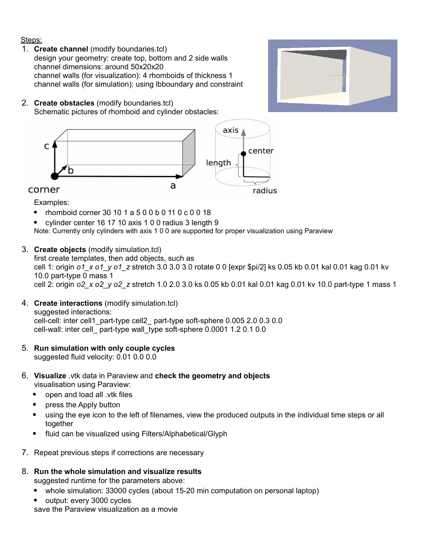## Steps:

1. **Create channel** (modify boundaries.tcl) design your geometry: create top, bottom and 2 side walls channel dimensions: around 50x20x20 channel walls (for visualization): 4 rhomboids of thickness 1 channel walls (for simulation): using lbboundary and constraint

## 2. **Create obstacles** (modify boundaries.tcl) Schematic pictures of rhomboid and cylinder obstacles:



Examples:

- rhomboid corner 30 10 1 a 5 0 0 b 0 11 0 c 0 0 18
- cylinder center 16 17 10 axis 1 0 0 radius 3 length 9

Note: Currently only cylinders with axis 1 0 0 are supported for proper visualization using Paraview

3. **Create objects** (modify simulation.tcl)

first create templates, then add objects, such as cell 1: origin *o1\_x o1\_y o1\_z* stretch 3.0 3.0 3.0 rotate 0 0 [expr \$pi/2] ks 0.05 kb 0.01 kal 0.01 kag 0.01 kv 10.0 part-type 0 mass 1 cell 2: origin *o2\_x o2\_y o2\_z* stretch 1.0 2.0 3.0 ks 0.05 kb 0.01 kal 0.01 kag 0.01 kv 10.0 part-type 1 mass 1

- 4. **Create interactions** (modify simulation.tcl) suggested interactions: cell-cell: inter cell1\_part-type cell2\_ part-type soft-sphere 0.005 2.0 0.3 0.0 cell-wall: inter cell\_ part-type wall\_type soft-sphere 0.0001 1.2 0.1 0.0
- 5. **Run simulation with only couple cycles** suggested fluid velocity: 0.01 0.0 0.0
- 6. **Visualize** .vtk data in Paraview and **check the geometry and objects** visualisation using Paraview:
	- open and load all .vtk files
	- press the Apply button
	- using the eye icon to the left of filenames, view the produced outputs in the individual time steps or all together
	- fluid can be visualized using Filters/Alphabetical/Glyph
- 7. Repeat previous steps if corrections are necessary
- 8. **Run the whole simulation and visualize results**

suggested runtime for the parameters above:

- whole simulation: 33000 cycles (about 15-20 min computation on personal laptop)
- output: every 3000 cycles

save the Paraview visualization as a movie